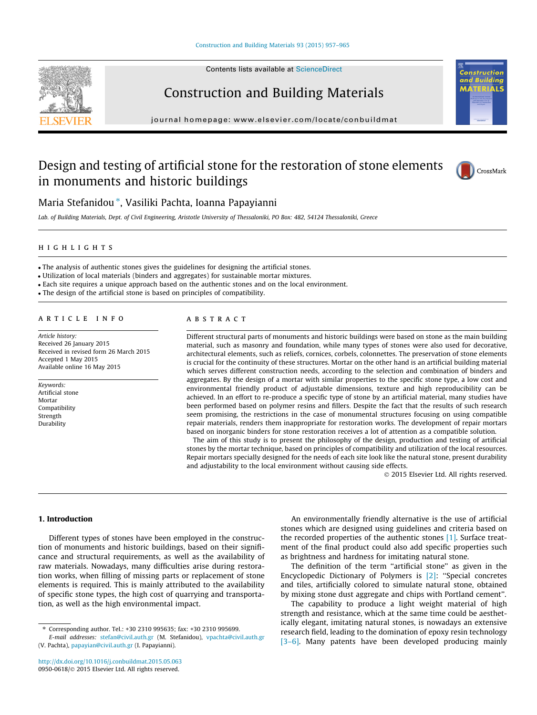Contents lists available at [ScienceDirect](http://www.sciencedirect.com/science/journal/09500618)



Construction and Building Materials

journal homepage: [www.elsevier.com/locate/conbuildmat](http://www.elsevier.com/locate/conbuildmat)

## Design and testing of artificial stone for the restoration of stone elements in monuments and historic buildings



 $\overline{\rm MS}$ 

Maria Stefanidou\*, Vasiliki Pachta, Ioanna Papayianni

Lab. of Building Materials, Dept. of Civil Engineering, Aristotle University of Thessaloniki, PO Box: 482, 54124 Thessaloniki, Greece

#### highlights

- The analysis of authentic stones gives the guidelines for designing the artificial stones.
- Utilization of local materials (binders and aggregates) for sustainable mortar mixtures.
- Each site requires a unique approach based on the authentic stones and on the local environment.

- The design of the artificial stone is based on principles of compatibility.

#### article info

Article history: Received 26 January 2015 Received in revised form 26 March 2015 Accepted 1 May 2015 Available online 16 May 2015

Keywords: Artificial stone Mortar Compatibility Strength Durability

### A B S T R A C T

Different structural parts of monuments and historic buildings were based on stone as the main building material, such as masonry and foundation, while many types of stones were also used for decorative, architectural elements, such as reliefs, cornices, corbels, colonnettes. The preservation of stone elements is crucial for the continuity of these structures. Mortar on the other hand is an artificial building material which serves different construction needs, according to the selection and combination of binders and aggregates. By the design of a mortar with similar properties to the specific stone type, a low cost and environmental friendly product of adjustable dimensions, texture and high reproducibility can be achieved. In an effort to re-produce a specific type of stone by an artificial material, many studies have been performed based on polymer resins and fillers. Despite the fact that the results of such research seem promising, the restrictions in the case of monumental structures focusing on using compatible repair materials, renders them inappropriate for restoration works. The development of repair mortars based on inorganic binders for stone restoration receives a lot of attention as a compatible solution.

The aim of this study is to present the philosophy of the design, production and testing of artificial stones by the mortar technique, based on principles of compatibility and utilization of the local resources. Repair mortars specially designed for the needs of each site look like the natural stone, present durability and adjustability to the local environment without causing side effects.

- 2015 Elsevier Ltd. All rights reserved.

#### 1. Introduction

Different types of stones have been employed in the construction of monuments and historic buildings, based on their significance and structural requirements, as well as the availability of raw materials. Nowadays, many difficulties arise during restoration works, when filling of missing parts or replacement of stone elements is required. This is mainly attributed to the availability of specific stone types, the high cost of quarrying and transportation, as well as the high environmental impact.

An environmentally friendly alternative is the use of artificial stones which are designed using guidelines and criteria based on the recorded properties of the authentic stones [\[1\].](#page--1-0) Surface treatment of the final product could also add specific properties such as brightness and hardness for imitating natural stone.

The definition of the term "artificial stone" as given in the Encyclopedic Dictionary of Polymers is [\[2\]:](#page--1-0) ''Special concretes and tiles, artificially colored to simulate natural stone, obtained by mixing stone dust aggregate and chips with Portland cement''.

The capability to produce a light weight material of high strength and resistance, which at the same time could be aesthetically elegant, imitating natural stones, is nowadays an extensive research field, leading to the domination of epoxy resin technology [\[3–6\].](#page--1-0) Many patents have been developed producing mainly

Corresponding author. Tel.: +30 2310 995635; fax: +30 2310 995699.

E-mail addresses: [stefan@civil.auth.gr](mailto:stefan@civil.auth.gr) (M. Stefanidou), [vpachta@civil.auth.gr](mailto:vpachta@civil.auth.gr     ) (V. Pachta), [papayian@civil.auth.gr](mailto:papayian@civil.auth.gr) (I. Papayianni).

<http://dx.doi.org/10.1016/j.conbuildmat.2015.05.063> 0950-0618/© 2015 Elsevier Ltd. All rights reserved.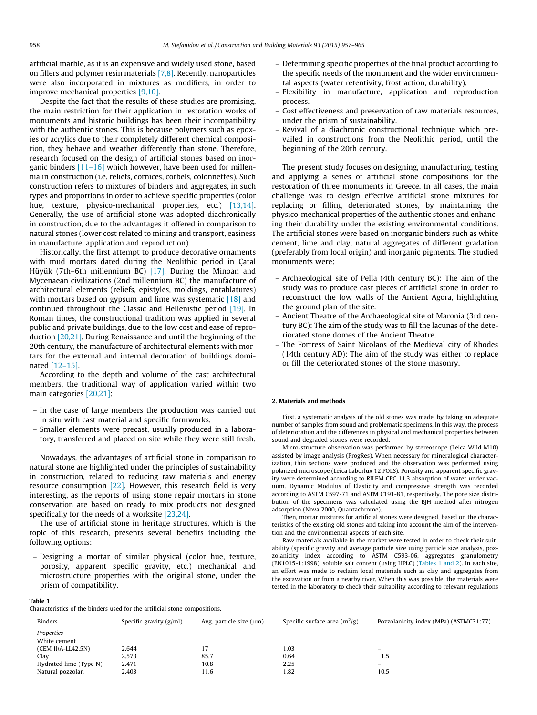artificial marble, as it is an expensive and widely used stone, based on fillers and polymer resin materials [\[7,8\].](#page--1-0) Recently, nanoparticles were also incorporated in mixtures as modifiers, in order to improve mechanical properties [\[9,10\].](#page--1-0)

Despite the fact that the results of these studies are promising, the main restriction for their application in restoration works of monuments and historic buildings has been their incompatibility with the authentic stones. This is because polymers such as epoxies or acrylics due to their completely different chemical composition, they behave and weather differently than stone. Therefore, research focused on the design of artificial stones based on inorganic binders  $[11-16]$  which however, have been used for millennia in construction (i.e. reliefs, cornices, corbels, colonnettes). Such construction refers to mixtures of binders and aggregates, in such types and proportions in order to achieve specific properties (color hue, texture, physico-mechanical properties, etc.) [\[13,14\].](#page--1-0) Generally, the use of artificial stone was adopted diachronically in construction, due to the advantages it offered in comparison to natural stones (lower cost related to mining and transport, easiness in manufacture, application and reproduction).

Historically, the first attempt to produce decorative ornaments with mud mortars dated during the Neolithic period in Çatal Hüyük (7th–6th millennium BC) [\[17\]](#page--1-0). During the Minoan and Mycenaean civilizations (2nd millennium BC) the manufacture of architectural elements (reliefs, epistyles, moldings, entablatures) with mortars based on gypsum and lime was systematic [\[18\]](#page--1-0) and continued throughout the Classic and Hellenistic period [\[19\].](#page--1-0) In Roman times, the constructional tradition was applied in several public and private buildings, due to the low cost and ease of reproduction [\[20,21\].](#page--1-0) During Renaissance and until the beginning of the 20th century, the manufacture of architectural elements with mortars for the external and internal decoration of buildings dominated [\[12–15\].](#page--1-0)

According to the depth and volume of the cast architectural members, the traditional way of application varied within two main categories [\[20,21\]](#page--1-0):

- In the case of large members the production was carried out in situ with cast material and specific formworks.
- Smaller elements were precast, usually produced in a laboratory, transferred and placed on site while they were still fresh.

Nowadays, the advantages of artificial stone in comparison to natural stone are highlighted under the principles of sustainability in construction, related to reducing raw materials and energy resource consumption [\[22\].](#page--1-0) However, this research field is very interesting, as the reports of using stone repair mortars in stone conservation are based on ready to mix products not designed specifically for the needs of a worksite [\[23,24\]](#page--1-0).

The use of artificial stone in heritage structures, which is the topic of this research, presents several benefits including the following options:

– Designing a mortar of similar physical (color hue, texture, porosity, apparent specific gravity, etc.) mechanical and microstructure properties with the original stone, under the prism of compatibility.

#### Table 1

Characteristics of the binders used for the artificial stone compositions.

- Determining specific properties of the final product according to the specific needs of the monument and the wider environmental aspects (water retentivity, frost action, durability).
- Flexibility in manufacture, application and reproduction process.
- Cost effectiveness and preservation of raw materials resources, under the prism of sustainability.
- Revival of a diachronic constructional technique which prevailed in constructions from the Neolithic period, until the beginning of the 20th century.

The present study focuses on designing, manufacturing, testing and applying a series of artificial stone compositions for the restoration of three monuments in Greece. In all cases, the main challenge was to design effective artificial stone mixtures for replacing or filling deteriorated stones, by maintaining the physico-mechanical properties of the authentic stones and enhancing their durability under the existing environmental conditions. The artificial stones were based on inorganic binders such as white cement, lime and clay, natural aggregates of different gradation (preferably from local origin) and inorganic pigments. The studied monuments were:

- Archaeological site of Pella (4th century BC): The aim of the study was to produce cast pieces of artificial stone in order to reconstruct the low walls of the Ancient Agora, highlighting the ground plan of the site.
- Ancient Theatre of the Archaeological site of Maronia (3rd century BC): The aim of the study was to fill the lacunas of the deteriorated stone domes of the Ancient Theatre.
- The Fortress of Saint Nicolaos of the Medieval city of Rhodes (14th century AD): The aim of the study was either to replace or fill the deteriorated stones of the stone masonry.

#### 2. Materials and methods

First, a systematic analysis of the old stones was made, by taking an adequate number of samples from sound and problematic specimens. In this way, the process of deterioration and the differences in physical and mechanical properties between sound and degraded stones were recorded.

Micro-structure observation was performed by stereoscope (Leica Wild M10) assisted by image analysis (ProgRes). When necessary for mineralogical characterization, thin sections were produced and the observation was performed using polarized microscope (Leica Laborlux 12 POLS). Porosity and apparent specific gravity were determined according to RILEM CPC 11.3 absorption of water under vacuum. Dynamic Modulus of Elasticity and compressive strength was recorded according to ASTM C597-71 and ASTM C191-81, respectively. The pore size distribution of the specimens was calculated using the BJH method after nitrogen adsorption (Nova 2000, Quantachrome).

Then, mortar mixtures for artificial stones were designed, based on the characteristics of the existing old stones and taking into account the aim of the intervention and the environmental aspects of each site.

Raw materials available in the market were tested in order to check their suitability (specific gravity and average particle size using particle size analysis, pozzolanicity index according to ASTM C593-06, aggregates granulometry (EN1015-1:1998), soluble salt content (using HPLC) (Tables 1 and 2). In each site, an effort was made to reclaim local materials such as clay and aggregates from the excavation or from a nearby river. When this was possible, the materials were tested in the laboratory to check their suitability according to relevant regulations

| <b>Binders</b>             | Specific gravity $(g/ml)$ | Avg. particle size $(\mu m)$ | Specific surface area $(m^2/g)$ | Pozzolanicity index (MPa) (ASTMC31:77) |
|----------------------------|---------------------------|------------------------------|---------------------------------|----------------------------------------|
| Properties<br>White cement |                           |                              |                                 |                                        |
| $(CEM II/A-LL42.5N)$       | 2.644                     | 17                           | 1.03                            |                                        |
| Clav                       | 2.573                     | 85.7                         | 0.64                            | 1.5                                    |
| Hydrated lime (Type N)     | 2.471                     | 10.8                         | 2.25                            |                                        |
| Natural pozzolan           | 2.403                     | 11.6                         | 1.82                            | 10.5                                   |